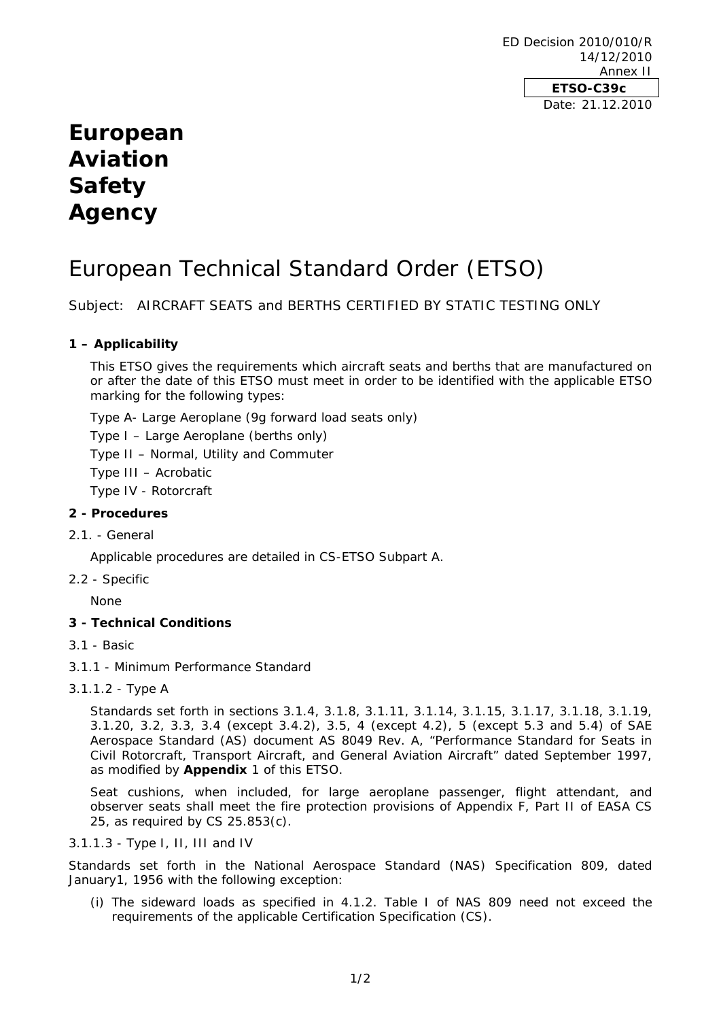ED Decision 2010/010/R 14/12/2010 Annex II **ETSO-C39c**  Date: 21.12.2010

# **European Aviation Safety Agency**

# European Technical Standard Order (ETSO)

Subject: AIRCRAFT SEATS and BERTHS CERTIFIED BY STATIC TESTING ONLY

# **1 – Applicability**

This ETSO gives the requirements which aircraft seats and berths that are manufactured on or after the date of this ETSO must meet in order to be identified with the applicable ETSO marking for the following types:

Type A- Large Aeroplane (9g forward load seats only)

Type I – Large Aeroplane (berths only)

Type II – Normal, Utility and Commuter

Type III – Acrobatic

Type IV - Rotorcraft

### **2 - Procedures**

2.1. - General

Applicable procedures are detailed in CS-ETSO Subpart A.

2.2 - Specific

None

#### **3 - Technical Conditions**

- 3.1 Basic
- 3.1.1 Minimum Performance Standard
- 3.1.1.2 Type A

Standards set forth in sections 3.1.4, 3.1.8, 3.1.11, 3.1.14, 3.1.15, 3.1.17, 3.1.18, 3.1.19, 3.1.20, 3.2, 3.3, 3.4 (except 3.4.2), 3.5, 4 (except 4.2), 5 (except 5.3 and 5.4) of SAE Aerospace Standard (AS) document AS 8049 Rev. A, "Performance Standard for Seats in Civil Rotorcraft, Transport Aircraft, and General Aviation Aircraft" dated September 1997, as modified by **Appendix** 1 of this ETSO.

Seat cushions, when included, for large aeroplane passenger, flight attendant, and observer seats shall meet the fire protection provisions of Appendix F, Part II of EASA CS 25, as required by CS 25.853(c).

#### 3.1.1.3 - Type I, II, III and IV

Standards set forth in the National Aerospace Standard (NAS) Specification 809, dated January1, 1956 with the following exception:

(i) The sideward loads as specified in 4.1.2. Table I of NAS 809 need not exceed the requirements of the applicable Certification Specification (CS).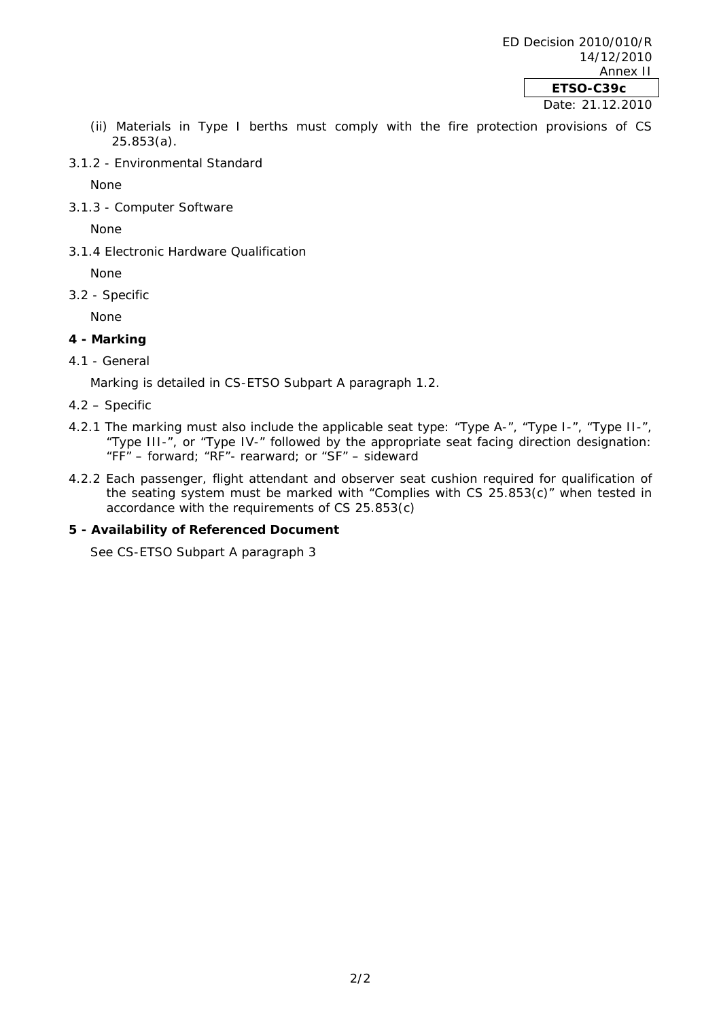- (ii) Materials in Type I berths must comply with the fire protection provisions of CS 25.853(a).
- 3.1.2 Environmental Standard

None

3.1.3 - Computer Software

None

3.1.4 Electronic Hardware Qualification

None

3.2 - Specific

None

## **4 - Marking**

## 4.1 - General

Marking is detailed in CS-ETSO Subpart A paragraph 1.2.

- 4.2 Specific
- 4.2.1 The marking must also include the applicable seat type: "Type A-", "Type I-", "Type II-", "Type III-", or "Type IV-" followed by the appropriate seat facing direction designation: "FF" – forward; "RF"- rearward; or "SF" – sideward
- 4.2.2 Each passenger, flight attendant and observer seat cushion required for qualification of the seating system must be marked with "Complies with CS 25.853(c)" when tested in accordance with the requirements of CS 25.853(c)

## **5 - Availability of Referenced Document**

See CS-ETSO Subpart A paragraph 3